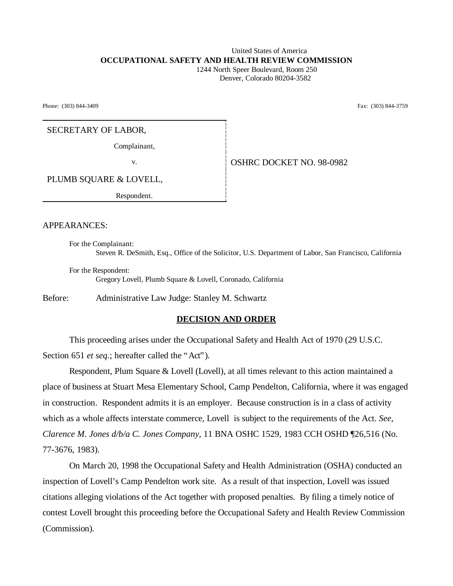### United States of America **OCCUPATIONAL SAFETY AND HEALTH REVIEW COMMISSION** 1244 North Speer Boulevard, Room 250

Denver, Colorado 80204-3582

Phone: (303) 844-3409 Fax: (303) 844-3759

### SECRETARY OF LABOR,

Complainant,

v. **CONFIDENT OSHRC DOCKET NO. 98-0982** 

PLUMB SQUARE & LOVELL,

Respondent.

### APPEARANCES:

For the Complainant: Steven R. DeSmith, Esq., Office of the Solicitor, U.S. Department of Labor, San Francisco, California

For the Respondent: Gregory Lovell, Plumb Square & Lovell, Coronado, California

Before: Administrative Law Judge: Stanley M. Schwartz

### **DECISION AND ORDER**

This proceeding arises under the Occupational Safety and Health Act of 1970 (29 U.S.C. Section 651 *et seq.*; hereafter called the "Act").

Respondent, Plum Square & Lovell (Lovell), at all times relevant to this action maintained a place of business at Stuart Mesa Elementary School, Camp Pendelton, California, where it was engaged in construction. Respondent admits it is an employer. Because construction is in a class of activity which as a whole affects interstate commerce, Lovell is subject to the requirements of the Act. *See, Clarence M. Jones d/b/a C. Jones Company,* 11 BNA OSHC 1529, 1983 CCH OSHD ¶26,516 (No. 77-3676, 1983).

On March 20, 1998 the Occupational Safety and Health Administration (OSHA) conducted an inspection of Lovell's Camp Pendelton work site. As a result of that inspection, Lovell was issued citations alleging violations of the Act together with proposed penalties. By filing a timely notice of contest Lovell brought this proceeding before the Occupational Safety and Health Review Commission (Commission).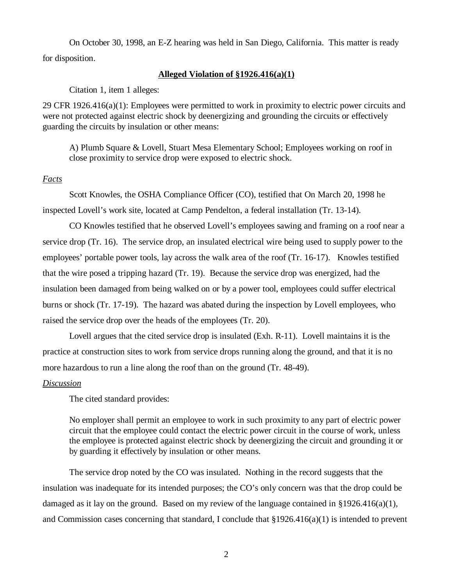On October 30, 1998, an E-Z hearing was held in San Diego, California. This matter is ready for disposition.

## **Alleged Violation of §1926.416(a)(1)**

Citation 1, item 1 alleges:

29 CFR 1926.416(a)(1): Employees were permitted to work in proximity to electric power circuits and were not protected against electric shock by deenergizing and grounding the circuits or effectively guarding the circuits by insulation or other means:

A) Plumb Square & Lovell, Stuart Mesa Elementary School; Employees working on roof in close proximity to service drop were exposed to electric shock.

## *Facts*

Scott Knowles, the OSHA Compliance Officer (CO), testified that On March 20, 1998 he inspected Lovell's work site, located at Camp Pendelton, a federal installation (Tr. 13-14).

CO Knowles testified that he observed Lovell's employees sawing and framing on a roof near a service drop (Tr. 16). The service drop, an insulated electrical wire being used to supply power to the employees' portable power tools, lay across the walk area of the roof (Tr. 16-17). Knowles testified that the wire posed a tripping hazard (Tr. 19). Because the service drop was energized, had the insulation been damaged from being walked on or by a power tool, employees could suffer electrical burns or shock (Tr. 17-19). The hazard was abated during the inspection by Lovell employees, who raised the service drop over the heads of the employees (Tr. 20).

Lovell argues that the cited service drop is insulated (Exh. R-11). Lovell maintains it is the practice at construction sites to work from service drops running along the ground, and that it is no more hazardous to run a line along the roof than on the ground (Tr. 48-49).

## *Discussion*

The cited standard provides:

No employer shall permit an employee to work in such proximity to any part of electric power circuit that the employee could contact the electric power circuit in the course of work, unless the employee is protected against electric shock by deenergizing the circuit and grounding it or by guarding it effectively by insulation or other means.

The service drop noted by the CO was insulated. Nothing in the record suggests that the insulation was inadequate for its intended purposes; the CO's only concern was that the drop could be damaged as it lay on the ground. Based on my review of the language contained in §1926.416(a)(1), and Commission cases concerning that standard, I conclude that  $\S 1926.416(a)(1)$  is intended to prevent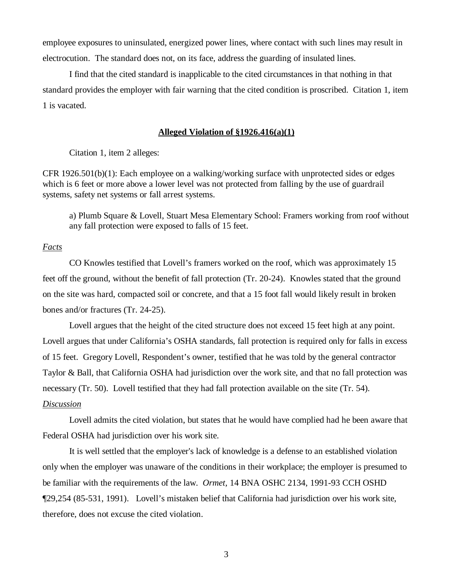employee exposures to uninsulated, energized power lines, where contact with such lines may result in electrocution. The standard does not, on its face, address the guarding of insulated lines.

I find that the cited standard is inapplicable to the cited circumstances in that nothing in that standard provides the employer with fair warning that the cited condition is proscribed. Citation 1, item 1 is vacated.

# **Alleged Violation of §1926.416(a)(1)**

Citation 1, item 2 alleges:

CFR 1926.501(b)(1): Each employee on a walking/working surface with unprotected sides or edges which is 6 feet or more above a lower level was not protected from falling by the use of guardrail systems, safety net systems or fall arrest systems.

a) Plumb Square & Lovell, Stuart Mesa Elementary School: Framers working from roof without any fall protection were exposed to falls of 15 feet.

### *Facts*

CO Knowles testified that Lovell's framers worked on the roof, which was approximately 15 feet off the ground, without the benefit of fall protection (Tr. 20-24). Knowles stated that the ground on the site was hard, compacted soil or concrete, and that a 15 foot fall would likely result in broken bones and/or fractures (Tr. 24-25).

Lovell argues that the height of the cited structure does not exceed 15 feet high at any point. Lovell argues that under California's OSHA standards, fall protection is required only for falls in excess of 15 feet. Gregory Lovell, Respondent's owner, testified that he was told by the general contractor Taylor & Ball, that California OSHA had jurisdiction over the work site, and that no fall protection was necessary (Tr. 50). Lovell testified that they had fall protection available on the site (Tr. 54). *Discussion*

Lovell admits the cited violation, but states that he would have complied had he been aware that Federal OSHA had jurisdiction over his work site.

It is well settled that the employer's lack of knowledge is a defense to an established violation only when the employer was unaware of the conditions in their workplace; the employer is presumed to be familiar with the requirements of the law. *Ormet,* 14 BNA OSHC 2134, 1991-93 CCH OSHD ¶29,254 (85-531, 1991). Lovell's mistaken belief that California had jurisdiction over his work site, therefore, does not excuse the cited violation.

3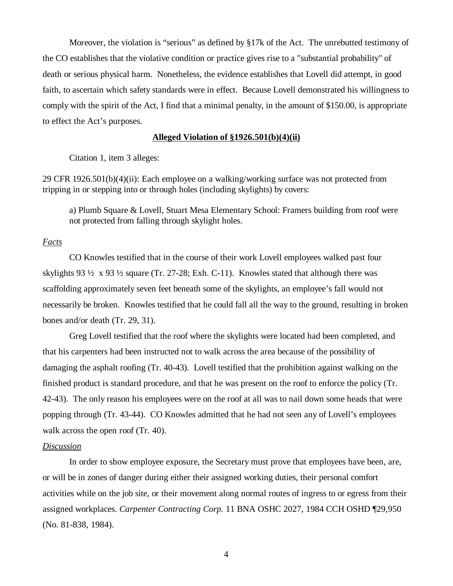Moreover, the violation is "serious" as defined by §17k of the Act. The unrebutted testimony of the CO establishes that the violative condition or practice gives rise to a "substantial probability" of death or serious physical harm. Nonetheless, the evidence establishes that Lovell did attempt, in good faith, to ascertain which safety standards were in effect. Because Lovell demonstrated his willingness to comply with the spirit of the Act, I find that a minimal penalty, in the amount of \$150.00, is appropriate to effect the Act's purposes.

### **Alleged Violation of §1926.501(b)(4)(ii)**

Citation 1, item 3 alleges:

29 CFR 1926.501(b)(4)(ii): Each employee on a walking/working surface was not protected from tripping in or stepping into or through holes (including skylights) by covers:

a) Plumb Square & Lovell, Stuart Mesa Elementary School: Framers building from roof were not protected from falling through skylight holes.

### *Facts*

CO Knowles testified that in the course of their work Lovell employees walked past four skylights 93  $\frac{1}{2}$  x 93  $\frac{1}{2}$  square (Tr. 27-28; Exh. C-11). Knowles stated that although there was scaffolding approximately seven feet beneath some of the skylights, an employee's fall would not necessarily be broken. Knowles testified that he could fall all the way to the ground, resulting in broken bones and/or death (Tr. 29, 31).

Greg Lovell testified that the roof where the skylights were located had been completed, and that his carpenters had been instructed not to walk across the area because of the possibility of damaging the asphalt roofing (Tr. 40-43). Lovell testified that the prohibition against walking on the finished product is standard procedure, and that he was present on the roof to enforce the policy (Tr. 42-43). The only reason his employees were on the roof at all was to nail down some heads that were popping through (Tr. 43-44). CO Knowles admitted that he had not seen any of Lovell's employees walk across the open roof (Tr. 40).

### *Discussion*

In order to show employee exposure, the Secretary must prove that employees have been, are, or will be in zones of danger during either their assigned working duties, their personal comfort activities while on the job site, or their movement along normal routes of ingress to or egress from their assigned workplaces. *Carpenter Contracting Corp.* 11 BNA OSHC 2027, 1984 CCH OSHD ¶29,950 (No. 81-838, 1984).

4